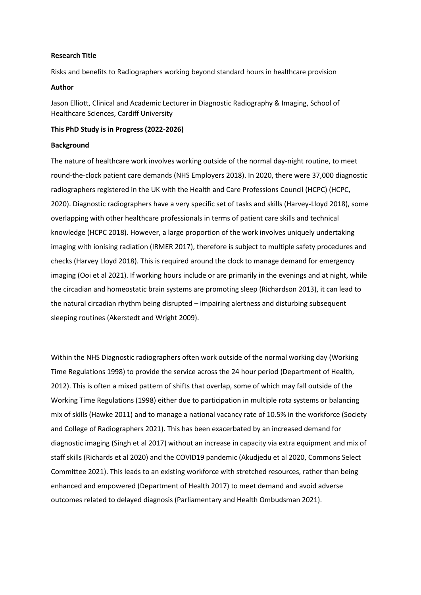### **Research Title**

Risks and benefits to Radiographers working beyond standard hours in healthcare provision

### **Author**

Jason Elliott, Clinical and Academic Lecturer in Diagnostic Radiography & Imaging, School of Healthcare Sciences, Cardiff University

### **This PhD Study is in Progress (2022-2026)**

#### **Background**

The nature of healthcare work involves working outside of the normal day-night routine, to meet round-the-clock patient care demands (NHS Employers 2018). In 2020, there were 37,000 diagnostic radiographers registered in the UK with the Health and Care Professions Council (HCPC) (HCPC, 2020). Diagnostic radiographers have a very specific set of tasks and skills (Harvey-Lloyd 2018), some overlapping with other healthcare professionals in terms of patient care skills and technical knowledge (HCPC 2018). However, a large proportion of the work involves uniquely undertaking imaging with ionising radiation (IRMER 2017), therefore is subject to multiple safety procedures and checks (Harvey Lloyd 2018). This is required around the clock to manage demand for emergency imaging (Ooi et al 2021). If working hours include or are primarily in the evenings and at night, while the circadian and homeostatic brain systems are promoting sleep (Richardson 2013), it can lead to the natural circadian rhythm being disrupted – impairing alertness and disturbing subsequent sleeping routines (Akerstedt and Wright 2009).

Within the NHS Diagnostic radiographers often work outside of the normal working day (Working Time Regulations 1998) to provide the service across the 24 hour period (Department of Health, 2012). This is often a mixed pattern of shifts that overlap, some of which may fall outside of the Working Time Regulations (1998) either due to participation in multiple rota systems or balancing mix of skills (Hawke 2011) and to manage a national vacancy rate of 10.5% in the workforce (Society and College of Radiographers 2021). This has been exacerbated by an increased demand for diagnostic imaging (Singh et al 2017) without an increase in capacity via extra equipment and mix of staff skills (Richards et al 2020) and the COVID19 pandemic (Akudjedu et al 2020, Commons Select Committee 2021). This leads to an existing workforce with stretched resources, rather than being enhanced and empowered (Department of Health 2017) to meet demand and avoid adverse outcomes related to delayed diagnosis (Parliamentary and Health Ombudsman 2021).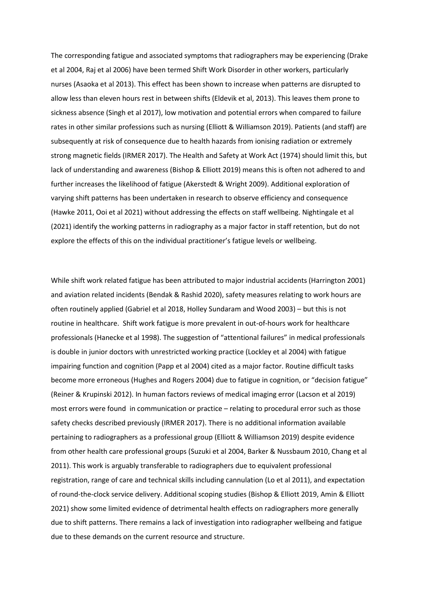The corresponding fatigue and associated symptoms that radiographers may be experiencing (Drake et al 2004, Raj et al 2006) have been termed Shift Work Disorder in other workers, particularly nurses (Asaoka et al 2013). This effect has been shown to increase when patterns are disrupted to allow less than eleven hours rest in between shifts (Eldevik et al, 2013). This leaves them prone to sickness absence (Singh et al 2017), low motivation and potential errors when compared to failure rates in other similar professions such as nursing (Elliott & Williamson 2019). Patients (and staff) are subsequently at risk of consequence due to health hazards from ionising radiation or extremely strong magnetic fields (IRMER 2017). The Health and Safety at Work Act (1974) should limit this, but lack of understanding and awareness (Bishop & Elliott 2019) means this is often not adhered to and further increases the likelihood of fatigue (Akerstedt & Wright 2009). Additional exploration of varying shift patterns has been undertaken in research to observe efficiency and consequence (Hawke 2011, Ooi et al 2021) without addressing the effects on staff wellbeing. Nightingale et al (2021) identify the working patterns in radiography as a major factor in staff retention, but do not explore the effects of this on the individual practitioner's fatigue levels or wellbeing.

While shift work related fatigue has been attributed to major industrial accidents (Harrington 2001) and aviation related incidents (Bendak & Rashid 2020), safety measures relating to work hours are often routinely applied (Gabriel et al 2018, Holley Sundaram and Wood 2003) – but this is not routine in healthcare. Shift work fatigue is more prevalent in out-of-hours work for healthcare professionals (Hanecke et al 1998). The suggestion of "attentional failures" in medical professionals is double in junior doctors with unrestricted working practice (Lockley et al 2004) with fatigue impairing function and cognition (Papp et al 2004) cited as a major factor. Routine difficult tasks become more erroneous (Hughes and Rogers 2004) due to fatigue in cognition, or "decision fatigue" (Reiner & Krupinski 2012). In human factors reviews of medical imaging error (Lacson et al 2019) most errors were found in communication or practice – relating to procedural error such as those safety checks described previously (IRMER 2017). There is no additional information available pertaining to radiographers as a professional group (Elliott & Williamson 2019) despite evidence from other health care professional groups (Suzuki et al 2004, Barker & Nussbaum 2010, Chang et al 2011). This work is arguably transferable to radiographers due to equivalent professional registration, range of care and technical skills including cannulation (Lo et al 2011), and expectation of round-the-clock service delivery. Additional scoping studies (Bishop & Elliott 2019, Amin & Elliott 2021) show some limited evidence of detrimental health effects on radiographers more generally due to shift patterns. There remains a lack of investigation into radiographer wellbeing and fatigue due to these demands on the current resource and structure.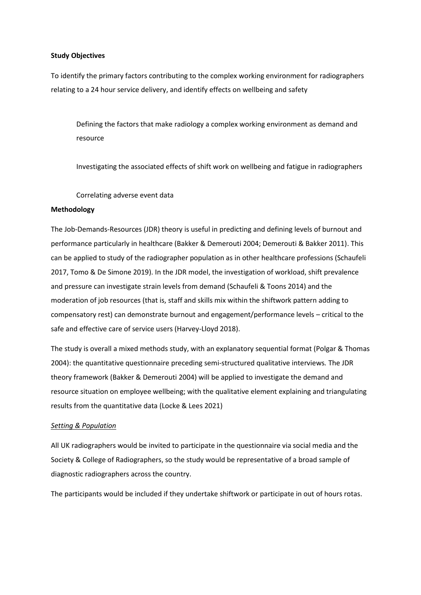### **Study Objectives**

To identify the primary factors contributing to the complex working environment for radiographers relating to a 24 hour service delivery, and identify effects on wellbeing and safety

Defining the factors that make radiology a complex working environment as demand and resource

Investigating the associated effects of shift work on wellbeing and fatigue in radiographers

Correlating adverse event data

## **Methodology**

The Job-Demands-Resources (JDR) theory is useful in predicting and defining levels of burnout and performance particularly in healthcare (Bakker & Demerouti 2004; Demerouti & Bakker 2011). This can be applied to study of the radiographer population as in other healthcare professions (Schaufeli 2017, Tomo & De Simone 2019). In the JDR model, the investigation of workload, shift prevalence and pressure can investigate strain levels from demand (Schaufeli & Toons 2014) and the moderation of job resources (that is, staff and skills mix within the shiftwork pattern adding to compensatory rest) can demonstrate burnout and engagement/performance levels – critical to the safe and effective care of service users (Harvey-Lloyd 2018).

The study is overall a mixed methods study, with an explanatory sequential format (Polgar & Thomas 2004): the quantitative questionnaire preceding semi-structured qualitative interviews*.* The JDR theory framework (Bakker & Demerouti 2004) will be applied to investigate the demand and resource situation on employee wellbeing; with the qualitative element explaining and triangulating results from the quantitative data (Locke & Lees 2021)

# *Setting & Population*

All UK radiographers would be invited to participate in the questionnaire via social media and the Society & College of Radiographers, so the study would be representative of a broad sample of diagnostic radiographers across the country.

The participants would be included if they undertake shiftwork or participate in out of hours rotas.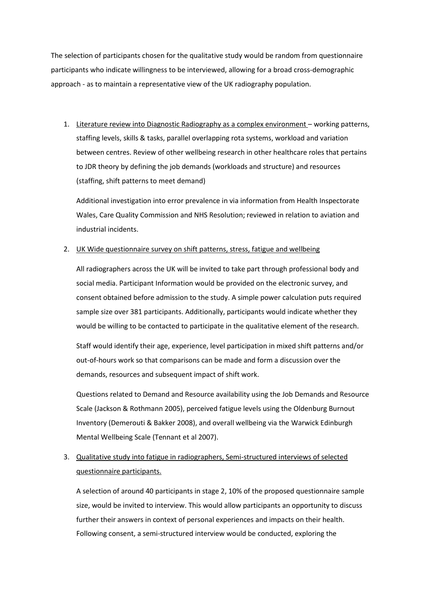The selection of participants chosen for the qualitative study would be random from questionnaire participants who indicate willingness to be interviewed, allowing for a broad cross-demographic approach - as to maintain a representative view of the UK radiography population.

1. Literature review into Diagnostic Radiography as a complex environment – working patterns, staffing levels, skills & tasks, parallel overlapping rota systems, workload and variation between centres. Review of other wellbeing research in other healthcare roles that pertains to JDR theory by defining the job demands (workloads and structure) and resources (staffing, shift patterns to meet demand)

Additional investigation into error prevalence in via information from Health Inspectorate Wales, Care Quality Commission and NHS Resolution; reviewed in relation to aviation and industrial incidents.

### 2. UK Wide questionnaire survey on shift patterns, stress, fatigue and wellbeing

All radiographers across the UK will be invited to take part through professional body and social media. Participant Information would be provided on the electronic survey, and consent obtained before admission to the study. A simple power calculation puts required sample size over 381 participants. Additionally, participants would indicate whether they would be willing to be contacted to participate in the qualitative element of the research.

Staff would identify their age, experience, level participation in mixed shift patterns and/or out-of-hours work so that comparisons can be made and form a discussion over the demands, resources and subsequent impact of shift work.

Questions related to Demand and Resource availability using the Job Demands and Resource Scale (Jackson & Rothmann 2005), perceived fatigue levels using the Oldenburg Burnout Inventory (Demerouti & Bakker 2008), and overall wellbeing via the Warwick Edinburgh Mental Wellbeing Scale (Tennant et al 2007).

3. Qualitative study into fatigue in radiographers, Semi-structured interviews of selected questionnaire participants.

A selection of around 40 participants in stage 2, 10% of the proposed questionnaire sample size, would be invited to interview. This would allow participants an opportunity to discuss further their answers in context of personal experiences and impacts on their health. Following consent, a semi-structured interview would be conducted, exploring the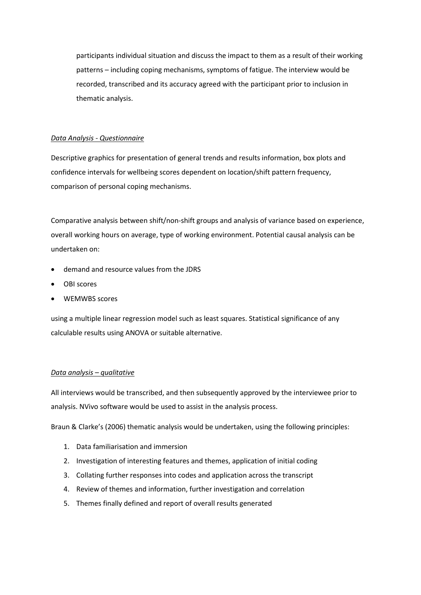participants individual situation and discuss the impact to them as a result of their working patterns – including coping mechanisms, symptoms of fatigue. The interview would be recorded, transcribed and its accuracy agreed with the participant prior to inclusion in thematic analysis.

# *Data Analysis - Questionnaire*

Descriptive graphics for presentation of general trends and results information, box plots and confidence intervals for wellbeing scores dependent on location/shift pattern frequency, comparison of personal coping mechanisms.

Comparative analysis between shift/non-shift groups and analysis of variance based on experience, overall working hours on average, type of working environment. Potential causal analysis can be undertaken on:

- demand and resource values from the JDRS
- OBI scores
- WEMWBS scores

using a multiple linear regression model such as least squares. Statistical significance of any calculable results using ANOVA or suitable alternative.

## *Data analysis – qualitative*

All interviews would be transcribed, and then subsequently approved by the interviewee prior to analysis. NVivo software would be used to assist in the analysis process.

Braun & Clarke's (2006) thematic analysis would be undertaken, using the following principles:

- 1. Data familiarisation and immersion
- 2. Investigation of interesting features and themes, application of initial coding
- 3. Collating further responses into codes and application across the transcript
- 4. Review of themes and information, further investigation and correlation
- 5. Themes finally defined and report of overall results generated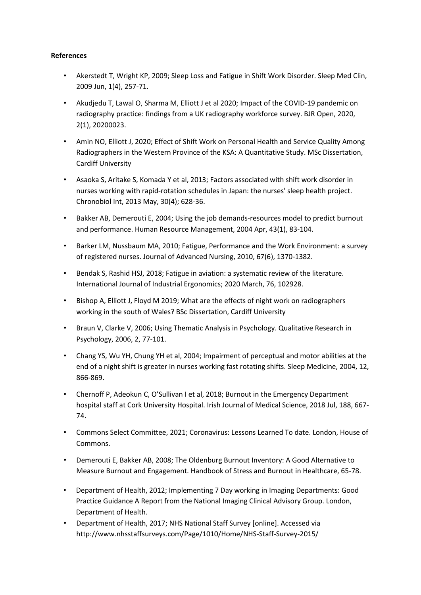# **References**

- Akerstedt T, Wright KP, 2009; Sleep Loss and Fatigue in Shift Work Disorder. Sleep Med Clin, 2009 Jun, 1(4), 257-71.
- Akudjedu T, Lawal O, Sharma M, Elliott J et al 2020; Impact of the COVID-19 pandemic on radiography practice: findings from a UK radiography workforce survey. BJR Open, 2020, 2(1), 20200023.
- Amin NO, Elliott J, 2020; Effect of Shift Work on Personal Health and Service Quality Among Radiographers in the Western Province of the KSA: A Quantitative Study. MSc Dissertation, Cardiff University
- Asaoka S, Aritake S, Komada Y et al, 2013; Factors associated with shift work disorder in nurses working with rapid-rotation schedules in Japan: the nurses' sleep health project. Chronobiol Int, 2013 May, 30(4); 628-36.
- Bakker AB, Demerouti E, 2004; Using the job demands-resources model to predict burnout and performance. Human Resource Management, 2004 Apr, 43(1), 83-104.
- Barker LM, Nussbaum MA, 2010; Fatigue, Performance and the Work Environment: a survey of registered nurses. Journal of Advanced Nursing, 2010, 67(6), 1370-1382.
- Bendak S, Rashid HSJ, 2018; Fatigue in aviation: a systematic review of the literature. International Journal of Industrial Ergonomics; 2020 March, 76, 102928.
- Bishop A, Elliott J, Floyd M 2019; What are the effects of night work on radiographers working in the south of Wales? BSc Dissertation, Cardiff University
- Braun V, Clarke V, 2006; Using Thematic Analysis in Psychology. Qualitative Research in Psychology, 2006, 2, 77-101.
- Chang YS, Wu YH, Chung YH et al, 2004; Impairment of perceptual and motor abilities at the end of a night shift is greater in nurses working fast rotating shifts. Sleep Medicine, 2004, 12, 866-869.
- Chernoff P, Adeokun C, O'Sullivan I et al, 2018; Burnout in the Emergency Department hospital staff at Cork University Hospital. Irish Journal of Medical Science, 2018 Jul, 188, 667- 74.
- Commons Select Committee, 2021; Coronavirus: Lessons Learned To date. London, House of Commons.
- Demerouti E, Bakker AB, 2008; The Oldenburg Burnout Inventory: A Good Alternative to Measure Burnout and Engagement. Handbook of Stress and Burnout in Healthcare, 65-78.
- Department of Health, 2012; Implementing 7 Day working in Imaging Departments: Good Practice Guidance A Report from the National Imaging Clinical Advisory Group. London, Department of Health.
- Department of Health, 2017; NHS National Staff Survey [online]. Accessed via http://www.nhsstaffsurveys.com/Page/1010/Home/NHS-Staff-Survey-2015/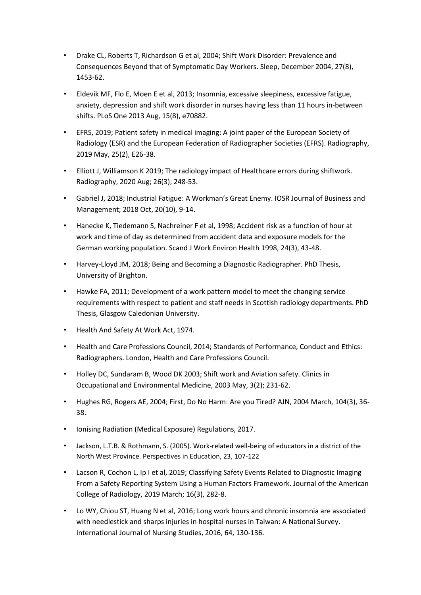- Drake CL, Roberts T, Richardson G et al, 2004; Shift Work Disorder: Prevalence and Consequences Beyond that of Symptomatic Day Workers. Sleep, December 2004, 27(8), 1453-62.
- Eldevik MF, Flo E, Moen E et al, 2013; Insomnia, excessive sleepiness, excessive fatigue, anxiety, depression and shift work disorder in nurses having less than 11 hours in-between shifts. PLoS One 2013 Aug, 15(8), e70882.
- EFRS, 2019; Patient safety in medical imaging: A joint paper of the European Society of Radiology (ESR) and the European Federation of Radiographer Societies (EFRS). Radiography, 2019 May, 25(2), E26-38.
- Elliott J, Williamson K 2019; The radiology impact of Healthcare errors during shiftwork. Radiography, 2020 Aug; 26(3); 248-53.
- Gabriel J, 2018; Industrial Fatigue: A Workman's Great Enemy. IOSR Journal of Business and Management; 2018 Oct, 20(10), 9-14.
- Hanecke K, Tiedemann S, Nachreiner F et al, 1998; Accident risk as a function of hour at work and time of day as determined from accident data and exposure models for the German working population. Scand J Work Environ Health 1998, 24(3), 43-48.
- Harvey-Lloyd JM, 2018; Being and Becoming a Diagnostic Radiographer. PhD Thesis, University of Brighton.
- Hawke FA, 2011; Development of a work pattern model to meet the changing service requirements with respect to patient and staff needs in Scottish radiology departments. PhD Thesis, Glasgow Caledonian University.
- Health And Safety At Work Act, 1974.
- Health and Care Professions Council, 2014; Standards of Performance, Conduct and Ethics: Radiographers. London, Health and Care Professions Council.
- Holley DC, Sundaram B, Wood DK 2003; Shift work and Aviation safety. Clinics in Occupational and Environmental Medicine, 2003 May, 3(2); 231-62.
- Hughes RG, Rogers AE, 2004; First, Do No Harm: Are you Tired? AJN, 2004 March, 104(3), 36- 38.
- Ionising Radiation (Medical Exposure) Regulations, 2017.
- Jackson, L.T.B. & Rothmann, S. (2005). Work-related well-being of educators in a district of the North West Province. Perspectives in Education, 23, 107-122
- Lacson R, Cochon L, Ip I et al, 2019; Classifying Safety Events Related to Diagnostic Imaging From a Safety Reporting System Using a Human Factors Framework. Journal of the American College of Radiology, 2019 March; 16(3), 282-8.
- Lo WY, Chiou ST, Huang N et al, 2016; Long work hours and chronic insomnia are associated with needlestick and sharps injuries in hospital nurses in Taiwan: A National Survey. International Journal of Nursing Studies, 2016, 64, 130-136.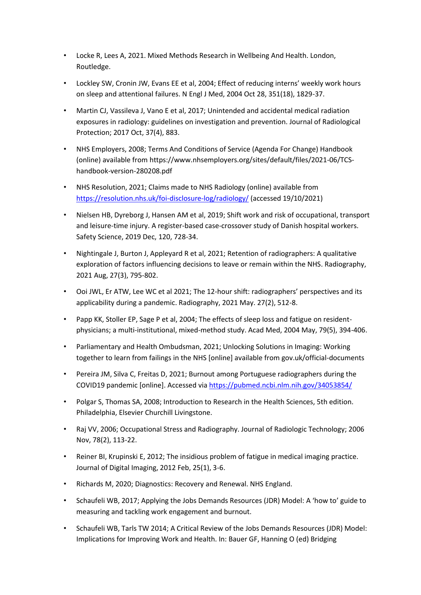- Locke R, Lees A, 2021. Mixed Methods Research in Wellbeing And Health. London, Routledge.
- Lockley SW, Cronin JW, Evans EE et al, 2004; Effect of reducing interns' weekly work hours on sleep and attentional failures. N Engl J Med, 2004 Oct 28, 351(18), 1829-37.
- Martin CJ, Vassileva J, Vano E et al, 2017; Unintended and accidental medical radiation exposures in radiology: guidelines on investigation and prevention. Journal of Radiological Protection; 2017 Oct, 37(4), 883.
- NHS Employers, 2008; Terms And Conditions of Service (Agenda For Change) Handbook (online) available from https://www.nhsemployers.org/sites/default/files/2021-06/TCShandbook-version-280208.pdf
- NHS Resolution, 2021; Claims made to NHS Radiology (online) available from <https://resolution.nhs.uk/foi-disclosure-log/radiology/> (accessed 19/10/2021)
- Nielsen HB, Dyreborg J, Hansen AM et al, 2019; Shift work and risk of occupational, transport and leisure-time injury. A register-based case-crossover study of Danish hospital workers. Safety Science, 2019 Dec, 120, 728-34.
- Nightingale J, Burton J, Appleyard R et al, 2021; Retention of radiographers: A qualitative exploration of factors influencing decisions to leave or remain within the NHS. Radiography, 2021 Aug, 27(3), 795-802.
- Ooi JWL, Er ATW, Lee WC et al 2021; The 12-hour shift: radiographers' perspectives and its applicability during a pandemic. Radiography, 2021 May. 27(2), 512-8.
- Papp KK, Stoller EP, Sage P et al, 2004; The effects of sleep loss and fatigue on residentphysicians; a multi-institutional, mixed-method study. Acad Med, 2004 May, 79(5), 394-406.
- Parliamentary and Health Ombudsman, 2021; Unlocking Solutions in Imaging: Working together to learn from failings in the NHS [online] available from gov.uk/official-documents
- Pereira JM, Silva C, Freitas D, 2021; Burnout among Portuguese radiographers during the COVID19 pandemic [online]. Accessed vi[a https://pubmed.ncbi.nlm.nih.gov/34053854/](https://pubmed.ncbi.nlm.nih.gov/34053854/)
- Polgar S, Thomas SA, 2008; Introduction to Research in the Health Sciences, 5th edition. Philadelphia, Elsevier Churchill Livingstone.
- Raj VV, 2006; Occupational Stress and Radiography. Journal of Radiologic Technology; 2006 Nov, 78(2), 113-22.
- Reiner BI, Krupinski E, 2012; The insidious problem of fatigue in medical imaging practice. Journal of Digital Imaging, 2012 Feb, 25(1), 3-6.
- Richards M, 2020; Diagnostics: Recovery and Renewal. NHS England.
- Schaufeli WB, 2017; Applying the Jobs Demands Resources (JDR) Model: A 'how to' guide to measuring and tackling work engagement and burnout.
- Schaufeli WB, Tarls TW 2014; A Critical Review of the Jobs Demands Resources (JDR) Model: Implications for Improving Work and Health. In: Bauer GF, Hanning O (ed) Bridging